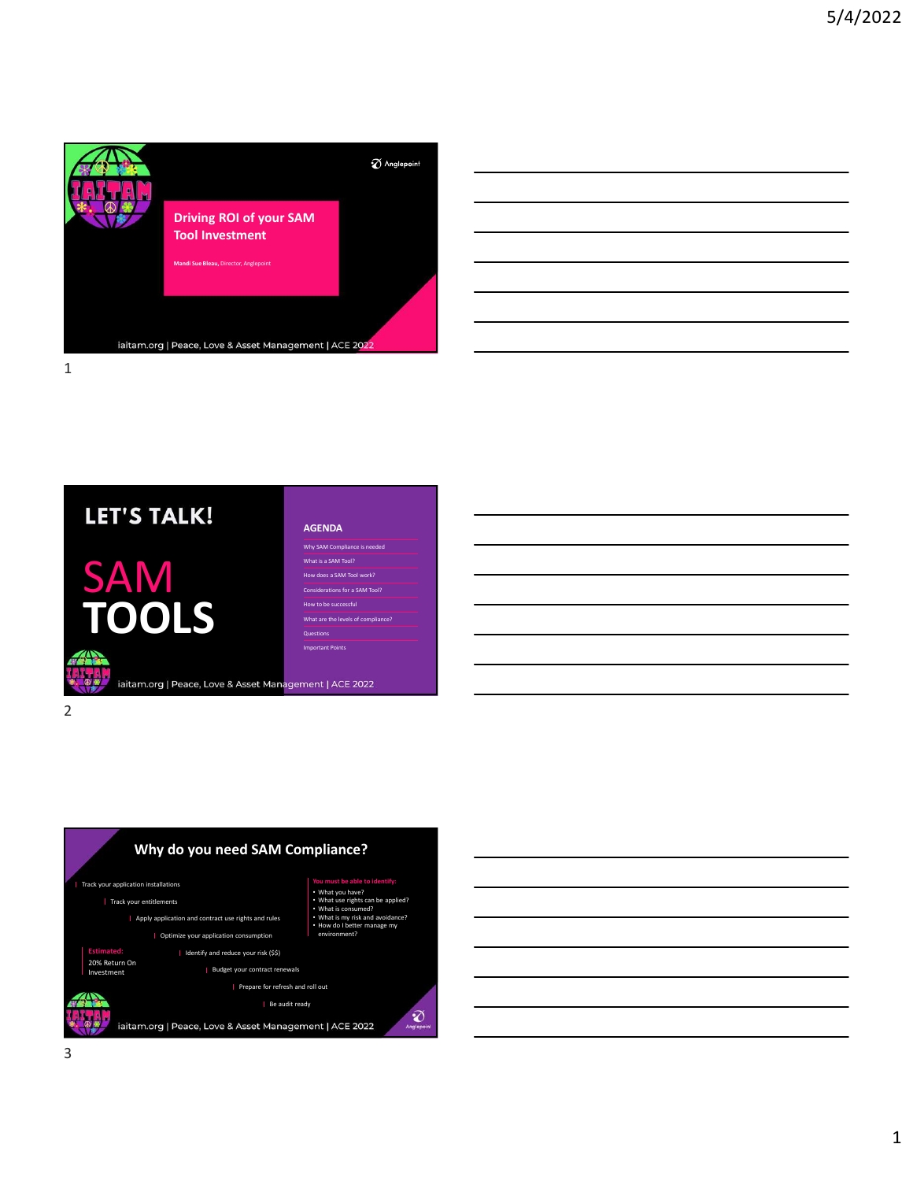

| __                                                                                                                   |  |  |
|----------------------------------------------------------------------------------------------------------------------|--|--|
|                                                                                                                      |  |  |
| <u> Andreas Andreas Andreas Andreas Andreas Andreas Andreas Andreas Andreas Andreas Andreas Andreas Andreas Andr</u> |  |  |
|                                                                                                                      |  |  |
|                                                                                                                      |  |  |
|                                                                                                                      |  |  |
|                                                                                                                      |  |  |
|                                                                                                                      |  |  |
|                                                                                                                      |  |  |







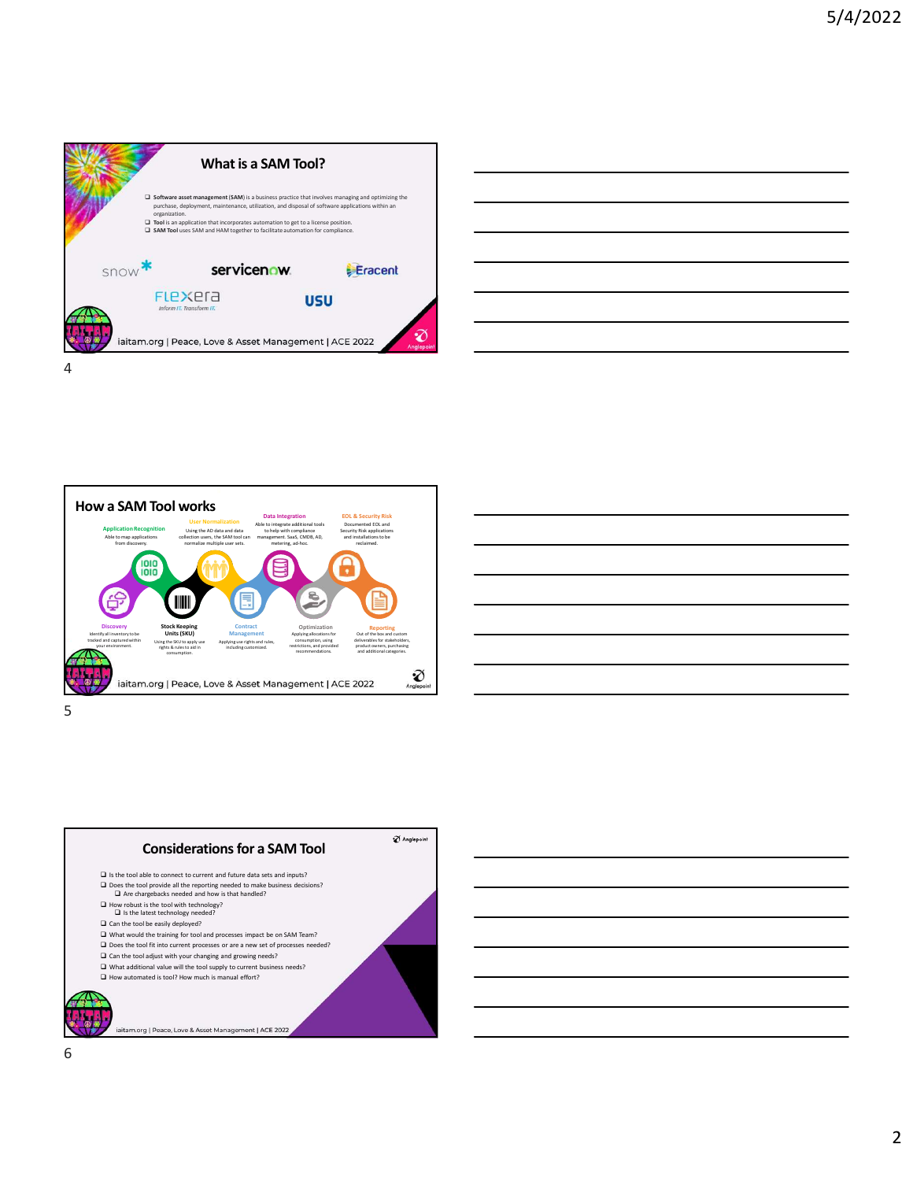









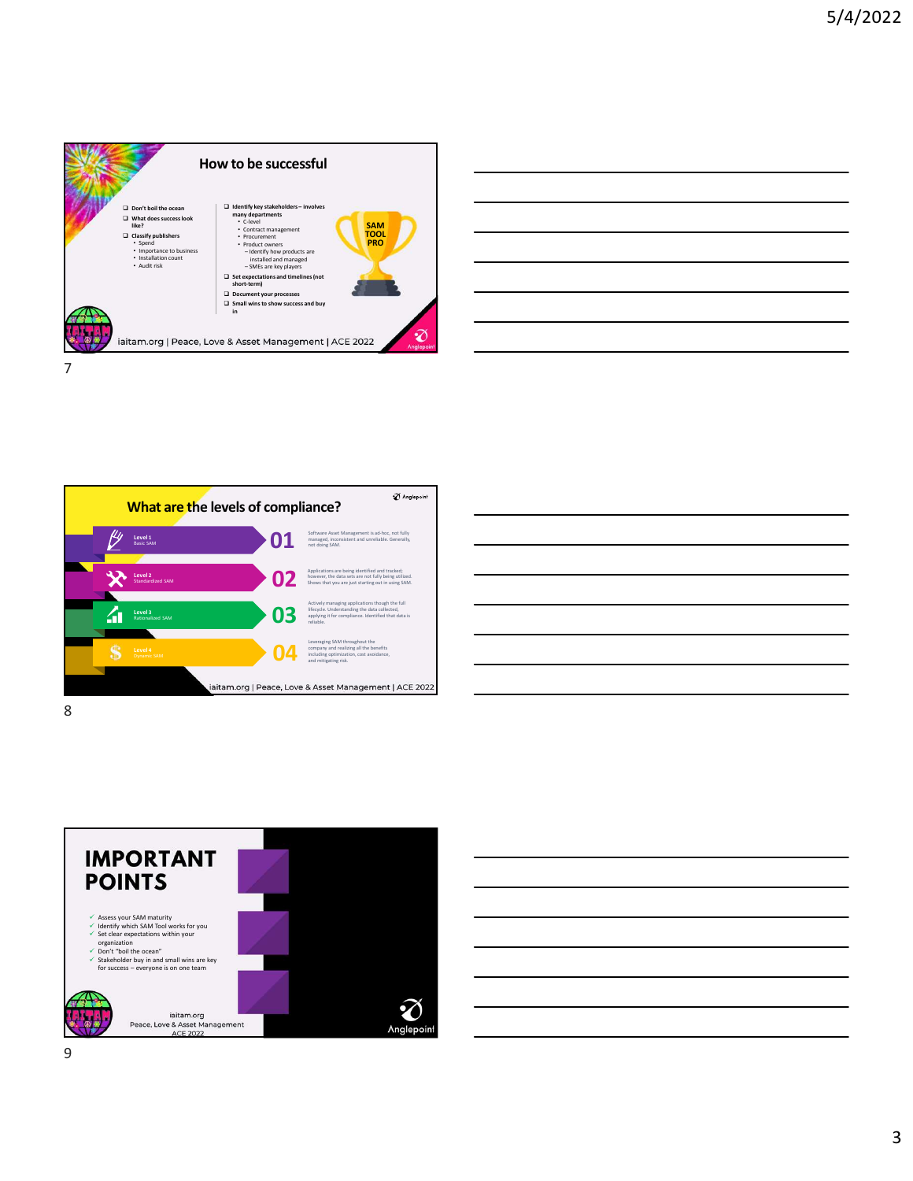



| <u> Andreas Andreas Andreas Andreas Andreas Andreas Andreas Andreas Andreas Andreas Andreas Andreas Andreas Andr</u> |  |  |
|----------------------------------------------------------------------------------------------------------------------|--|--|
|                                                                                                                      |  |  |
|                                                                                                                      |  |  |
|                                                                                                                      |  |  |
|                                                                                                                      |  |  |
|                                                                                                                      |  |  |
|                                                                                                                      |  |  |